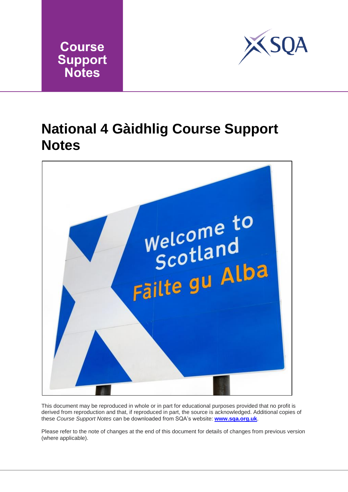



## **National 4 Gàidhlig Course Support Notes**



This document may be reproduced in whole or in part for educational purposes provided that no profit is derived from reproduction and that, if reproduced in part, the source is acknowledged. Additional copies of these *Course Support Notes* can be downloaded from SQA's website: **[www.sqa.org.uk](http://www.sqa.org.uk/)**.

Please refer to the note of changes at the end of this document for details of changes from previous version (where applicable).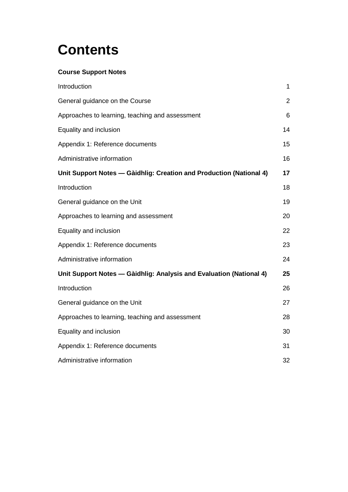# **Contents**

### **Course Support Notes**

| Introduction                                                        | 1              |
|---------------------------------------------------------------------|----------------|
| General guidance on the Course                                      | $\overline{2}$ |
| Approaches to learning, teaching and assessment                     | 6              |
| Equality and inclusion                                              | 14             |
| Appendix 1: Reference documents                                     | 15             |
| Administrative information                                          | 16             |
| Unit Support Notes - Gàidhlig: Creation and Production (National 4) | 17             |
| Introduction                                                        | 18             |
| General guidance on the Unit                                        | 19             |
| Approaches to learning and assessment                               | 20             |
| Equality and inclusion                                              | 22             |
| Appendix 1: Reference documents                                     | 23             |
| Administrative information                                          | 24             |
| Unit Support Notes — Gàidhlig: Analysis and Evaluation (National 4) | 25             |
| Introduction                                                        | 26             |
| General guidance on the Unit                                        | 27             |
| Approaches to learning, teaching and assessment                     | 28             |
| Equality and inclusion                                              | 30             |
| Appendix 1: Reference documents                                     | 31             |
| Administrative information                                          | 32             |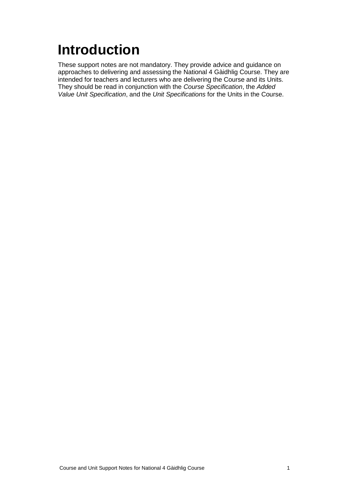# <span id="page-2-0"></span>**Introduction**

These support notes are not mandatory. They provide advice and guidance on approaches to delivering and assessing the National 4 Gàidhlig Course. They are intended for teachers and lecturers who are delivering the Course and its Units. They should be read in conjunction with the *Course Specification*, the *Added Value Unit Specification*, and the *Unit Specifications* for the Units in the Course.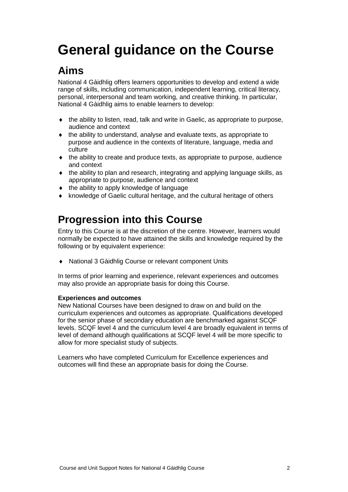# <span id="page-3-0"></span>**General guidance on the Course**

## **Aims**

National 4 Gàidhlig offers learners opportunities to develop and extend a wide range of skills, including communication, independent learning, critical literacy, personal, interpersonal and team working, and creative thinking. In particular, National 4 Gàidhlig aims to enable learners to develop:

- $\bullet$  the ability to listen, read, talk and write in Gaelic, as appropriate to purpose, audience and context
- the ability to understand, analyse and evaluate texts, as appropriate to purpose and audience in the contexts of literature, language, media and culture
- the ability to create and produce texts, as appropriate to purpose, audience and context
- $\bullet$  the ability to plan and research, integrating and applying language skills, as appropriate to purpose, audience and context
- $\bullet$  the ability to apply knowledge of language
- knowledge of Gaelic cultural heritage, and the cultural heritage of others

### **Progression into this Course**

Entry to this Course is at the discretion of the centre. However, learners would normally be expected to have attained the skills and knowledge required by the following or by equivalent experience:

National 3 Gàidhlig Course or relevant component Units

In terms of prior learning and experience, relevant experiences and outcomes may also provide an appropriate basis for doing this Course.

### **Experiences and outcomes**

New National Courses have been designed to draw on and build on the curriculum experiences and outcomes as appropriate. Qualifications developed for the senior phase of secondary education are benchmarked against SCQF levels. SCQF level 4 and the curriculum level 4 are broadly equivalent in terms of level of demand although qualifications at SCQF level 4 will be more specific to allow for more specialist study of subjects.

Learners who have completed Curriculum for Excellence experiences and outcomes will find these an appropriate basis for doing the Course.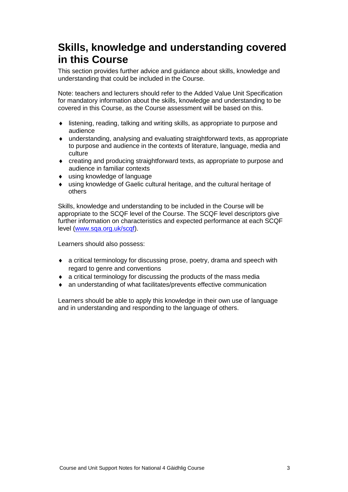### **Skills, knowledge and understanding covered in this Course**

This section provides further advice and guidance about skills, knowledge and understanding that could be included in the Course.

Note: teachers and lecturers should refer to the Added Value Unit Specification for mandatory information about the skills, knowledge and understanding to be covered in this Course, as the Course assessment will be based on this.

- listening, reading, talking and writing skills, as appropriate to purpose and audience
- understanding, analysing and evaluating straightforward texts, as appropriate to purpose and audience in the contexts of literature, language, media and culture
- creating and producing straightforward texts, as appropriate to purpose and audience in familiar contexts
- using knowledge of language
- using knowledge of Gaelic cultural heritage, and the cultural heritage of others

Skills, knowledge and understanding to be included in the Course will be appropriate to the SCQF level of the Course. The SCQF level descriptors give further information on characteristics and expected performance at each SCQF level [\(www.sqa.org.uk/scqf\)](http://www.sqa.org.uk/sqa/4595.html).

Learners should also possess:

- a critical terminology for discussing prose, poetry, drama and speech with regard to genre and conventions
- a critical terminology for discussing the products of the mass media
- an understanding of what facilitates/prevents effective communication

Learners should be able to apply this knowledge in their own use of language and in understanding and responding to the language of others.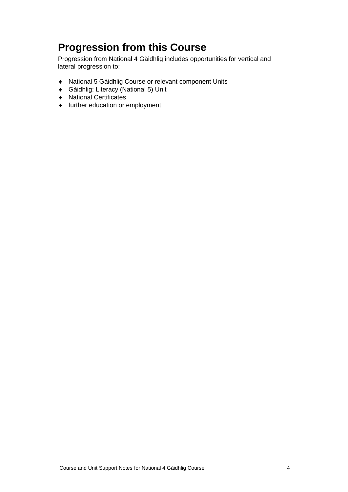## **Progression from this Course**

Progression from National 4 Gàidhlig includes opportunities for vertical and lateral progression to:

- National 5 Gàidhlig Course or relevant component Units
- Gàidhlig: Literacy (National 5) Unit
- National Certificates
- further education or employment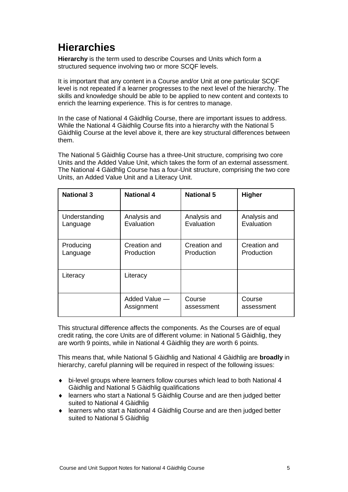## **Hierarchies**

**Hierarchy** is the term used to describe Courses and Units which form a structured sequence involving two or more SCQF levels.

It is important that any content in a Course and/or Unit at one particular SCQF level is not repeated if a learner progresses to the next level of the hierarchy. The skills and knowledge should be able to be applied to new content and contexts to enrich the learning experience. This is for centres to manage.

In the case of National 4 Gàidhlig Course, there are important issues to address. While the National 4 Gàidhlig Course fits into a hierarchy with the National 5 Gàidhlig Course at the level above it, there are key structural differences between them.

The National 5 Gàidhlig Course has a three-Unit structure, comprising two core Units and the Added Value Unit, which takes the form of an external assessment. The National 4 Gàidhlig Course has a four-Unit structure, comprising the two core Units, an Added Value Unit and a Literacy Unit.

| <b>National 3</b> | <b>National 4</b> | <b>National 5</b> | <b>Higher</b> |
|-------------------|-------------------|-------------------|---------------|
| Understanding     | Analysis and      | Analysis and      | Analysis and  |
| Language          | Evaluation        | Evaluation        | Evaluation    |
| Producing         | Creation and      | Creation and      | Creation and  |
| Language          | Production        | Production        | Production    |
| Literacy          | Literacy          |                   |               |
|                   | Added Value —     | Course            | Course        |
|                   | Assignment        | assessment        | assessment    |

This structural difference affects the components. As the Courses are of equal credit rating, the core Units are of different volume: in National 5 Gàidhlig, they are worth 9 points, while in National 4 Gàidhlig they are worth 6 points.

This means that, while National 5 Gàidhlig and National 4 Gàidhlig are **broadly** in hierarchy, careful planning will be required in respect of the following issues:

- bi-level groups where learners follow courses which lead to both National 4 Gàidhlig and National 5 Gàidhlig qualifications
- learners who start a National 5 Gàidhlig Course and are then judged better suited to National 4 Gàidhlig
- learners who start a National 4 Gàidhlig Course and are then judged better suited to National 5 Gàidhlig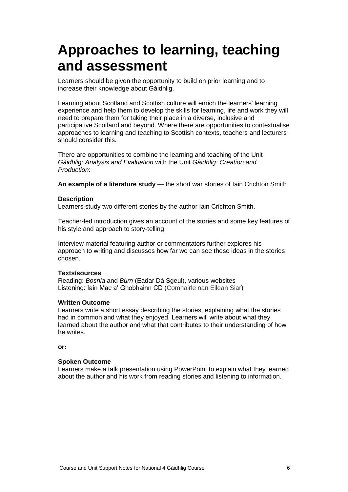## <span id="page-7-0"></span>**Approaches to learning, teaching and assessment**

Learners should be given the opportunity to build on prior learning and to increase their knowledge about Gàidhlig.

Learning about Scotland and Scottish culture will enrich the learners' learning experience and help them to develop the skills for learning, life and work they will need to prepare them for taking their place in a diverse, inclusive and participative Scotland and beyond. Where there are opportunities to contextualise approaches to learning and teaching to Scottish contexts, teachers and lecturers should consider this.

There are opportunities to combine the learning and teaching of the Unit *Gàidhlig: Analysis and Evaluation* with the Unit *Gàidhlig: Creation and Production*:

**An example of a literature study** — the short war stories of Iain Crichton Smith

#### **Description**

Learners study two different stories by the author Iain Crichton Smith.

Teacher-led introduction gives an account of the stories and some key features of his style and approach to story-telling.

Interview material featuring author or commentators further explores his approach to writing and discusses how far we can see these ideas in the stories chosen.

### **Texts/sources**

Reading: *Bosnia* and *Bùrn* (Eadar Dà Sgeul), various websites Listening: Iain Mac a' Ghobhainn CD (Comhairle nan Eilean Siar)

### **Written Outcome**

Learners write a short essay describing the stories, explaining what the stories had in common and what they enjoyed. Learners will write about what they learned about the author and what that contributes to their understanding of how he writes.

**or:**

### **Spoken Outcome**

Learners make a talk presentation using PowerPoint to explain what they learned about the author and his work from reading stories and listening to information.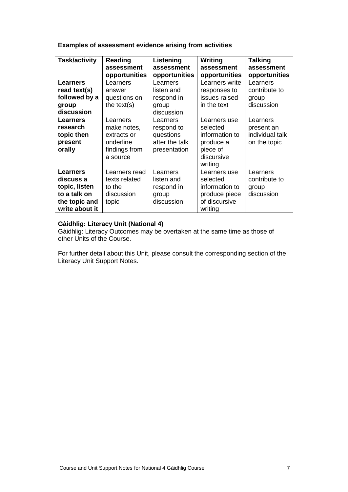### **Examples of assessment evidence arising from activities**

| <b>Task/activity</b> | Reading<br>assessment<br>opportunities | Listening<br>assessment<br>opportunities | Writing<br>assessment<br>opportunities | <b>Talking</b><br>assessment<br>opportunities |
|----------------------|----------------------------------------|------------------------------------------|----------------------------------------|-----------------------------------------------|
| <b>Learners</b>      |                                        |                                          | Learners write                         |                                               |
|                      | Learners                               | Learners                                 |                                        | Learners                                      |
| read text(s)         | answer                                 | listen and                               | responses to                           | contribute to                                 |
| followed by a        | questions on                           | respond in                               | issues raised                          | group                                         |
| group                | the $text(s)$                          | group                                    | in the text                            | discussion                                    |
| discussion           |                                        | discussion                               |                                        |                                               |
| <b>Learners</b>      | Learners                               | Learners                                 | Learners use                           | Learners                                      |
| research             | make notes,                            | respond to                               | selected                               | present an                                    |
| topic then           | extracts or                            | questions                                | information to                         | individual talk                               |
| present              | underline                              | after the talk                           | produce a                              | on the topic                                  |
| orally               | findings from                          | presentation                             | piece of                               |                                               |
|                      | a source                               |                                          | discursive                             |                                               |
|                      |                                        |                                          | writing                                |                                               |
| <b>Learners</b>      | Learners read                          | Learners                                 | Learners use                           | Learners                                      |
| discuss a            | texts related                          | listen and                               | selected                               | contribute to                                 |
| topic, listen        | to the                                 | respond in                               | information to                         | group                                         |
| to a talk on         | discussion                             | group                                    | produce piece                          | discussion                                    |
| the topic and        | topic                                  | discussion                               | of discursive                          |                                               |
| write about it       |                                        |                                          | writing                                |                                               |

### **Gàidhlig: Literacy Unit (National 4)**

Gàidhlig: Literacy Outcomes may be overtaken at the same time as those of other Units of the Course.

For further detail about this Unit, please consult the corresponding section of the Literacy Unit Support Notes.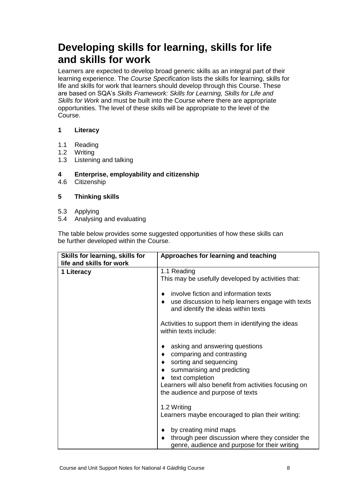### **Developing skills for learning, skills for life and skills for work**

Learners are expected to develop broad generic skills as an integral part of their learning experience. The *Course Specification* lists the skills for learning, skills for life and skills for work that learners should develop through this Course. These are based on SQA's *Skills Framework: Skills for Learning, Skills for Life and Skills for Work* and must be built into the Course where there are appropriate opportunities. The level of these skills will be appropriate to the level of the Course.

### **1 Literacy**

- 1.1 Reading
- 1.2 Writing
- 1.3 Listening and talking
- **4 Enterprise, employability and citizenship**
- 4.6 Citizenship

### **5 Thinking skills**

- 5.3 Applying
- 5.4 Analysing and evaluating

The table below provides some suggested opportunities of how these skills can be further developed within the Course.

|                          | Approaches for learning and teaching                                                                                                                                                                                                                                                   |
|--------------------------|----------------------------------------------------------------------------------------------------------------------------------------------------------------------------------------------------------------------------------------------------------------------------------------|
| life and skills for work |                                                                                                                                                                                                                                                                                        |
| 1 Literacy               | 1.1 Reading<br>This may be usefully developed by activities that:<br>involve fiction and information texts<br>٠<br>use discussion to help learners engage with texts<br>٠<br>and identify the ideas within texts                                                                       |
|                          | Activities to support them in identifying the ideas<br>within texts include:                                                                                                                                                                                                           |
|                          | asking and answering questions<br>٠<br>comparing and contrasting<br>$\bullet$<br>sorting and sequencing<br>$\bullet$<br>summarising and predicting<br>$\bullet$<br>text completion<br>۰<br>Learners will also benefit from activities focusing on<br>the audience and purpose of texts |
|                          | 1.2 Writing<br>Learners maybe encouraged to plan their writing:<br>by creating mind maps<br>٠<br>through peer discussion where they consider the<br>$\bullet$                                                                                                                          |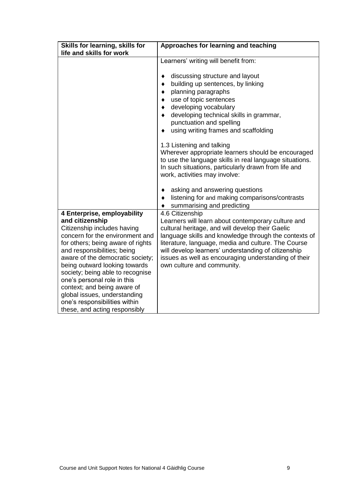| Skills for learning, skills for<br>life and skills for work                                                                                                                                                                                                                                                                                                                                                                                                   | Approaches for learning and teaching                                                                                                                                                                                                                                                                                                                                                                                                                                                                                                                                                                                                                                                                          |  |
|---------------------------------------------------------------------------------------------------------------------------------------------------------------------------------------------------------------------------------------------------------------------------------------------------------------------------------------------------------------------------------------------------------------------------------------------------------------|---------------------------------------------------------------------------------------------------------------------------------------------------------------------------------------------------------------------------------------------------------------------------------------------------------------------------------------------------------------------------------------------------------------------------------------------------------------------------------------------------------------------------------------------------------------------------------------------------------------------------------------------------------------------------------------------------------------|--|
|                                                                                                                                                                                                                                                                                                                                                                                                                                                               | Learners' writing will benefit from:<br>discussing structure and layout<br>٠<br>building up sentences, by linking<br>$\bullet$<br>planning paragraphs<br>٠<br>use of topic sentences<br>$\bullet$<br>developing vocabulary<br>٠<br>developing technical skills in grammar,<br>$\bullet$<br>punctuation and spelling<br>using writing frames and scaffolding<br>٠<br>1.3 Listening and talking<br>Wherever appropriate learners should be encouraged<br>to use the language skills in real language situations.<br>In such situations, particularly drawn from life and<br>work, activities may involve:<br>asking and answering questions<br>٠<br>listening for and making comparisons/contrasts<br>$\bullet$ |  |
| 4 Enterprise, employability<br>and citizenship<br>Citizenship includes having<br>concern for the environment and<br>for others; being aware of rights<br>and responsibilities; being<br>aware of the democratic society;<br>being outward looking towards<br>society; being able to recognise<br>one's personal role in this<br>context; and being aware of<br>global issues, understanding<br>one's responsibilities within<br>these, and acting responsibly | summarising and predicting<br>4.6 Citizenship<br>Learners will learn about contemporary culture and<br>cultural heritage, and will develop their Gaelic<br>language skills and knowledge through the contexts of<br>literature, language, media and culture. The Course<br>will develop learners' understanding of citizenship<br>issues as well as encouraging understanding of their<br>own culture and community.                                                                                                                                                                                                                                                                                          |  |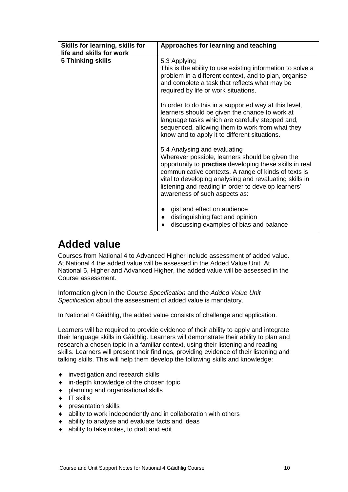| Skills for learning, skills for<br>life and skills for work                                                                                                                                                                                                                                                                                           | Approaches for learning and teaching                                                                                                                                                                                                                           |
|-------------------------------------------------------------------------------------------------------------------------------------------------------------------------------------------------------------------------------------------------------------------------------------------------------------------------------------------------------|----------------------------------------------------------------------------------------------------------------------------------------------------------------------------------------------------------------------------------------------------------------|
| 5 Thinking skills                                                                                                                                                                                                                                                                                                                                     | 5.3 Applying<br>This is the ability to use existing information to solve a<br>problem in a different context, and to plan, organise<br>and complete a task that reflects what may be<br>required by life or work situations.                                   |
|                                                                                                                                                                                                                                                                                                                                                       | In order to do this in a supported way at this level,<br>learners should be given the chance to work at<br>language tasks which are carefully stepped and,<br>sequenced, allowing them to work from what they<br>know and to apply it to different situations. |
| 5.4 Analysing and evaluating<br>Wherever possible, learners should be given the<br>opportunity to practise developing these skills in real<br>communicative contexts. A range of kinds of texts is<br>vital to developing analysing and revaluating skills in<br>listening and reading in order to develop learners'<br>awareness of such aspects as: |                                                                                                                                                                                                                                                                |
|                                                                                                                                                                                                                                                                                                                                                       | gist and effect on audience<br>distinguishing fact and opinion<br>$\bullet$<br>discussing examples of bias and balance                                                                                                                                         |

### **Added value**

Courses from National 4 to Advanced Higher include assessment of added value. At National 4 the added value will be assessed in the Added Value Unit. At National 5, Higher and Advanced Higher, the added value will be assessed in the Course assessment.

Information given in the *Course Specification* and the *Added Value Unit Specification* about the assessment of added value is mandatory.

In National 4 Gàidhlig, the added value consists of challenge and application.

Learners will be required to provide evidence of their ability to apply and integrate their language skills in Gàidhlig. Learners will demonstrate their ability to plan and research a chosen topic in a familiar context, using their listening and reading skills. Learners will present their findings, providing evidence of their listening and talking skills. This will help them develop the following skills and knowledge:

- investigation and research skills
- in-depth knowledge of the chosen topic
- planning and organisational skills
- $\bullet$  IT skills
- ◆ presentation skills
- ability to work independently and in collaboration with others
- ability to analyse and evaluate facts and ideas
- ability to take notes, to draft and edit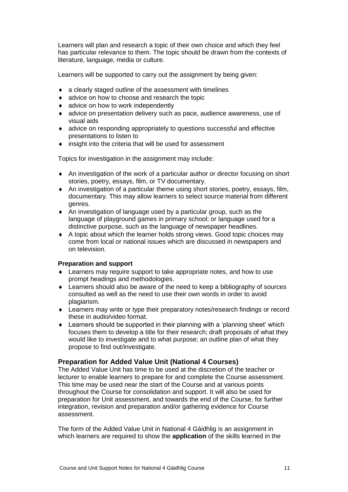Learners will plan and research a topic of their own choice and which they feel has particular relevance to them. The topic should be drawn from the contexts of literature, language, media or culture.

Learners will be supported to carry out the assignment by being given:

- a clearly staged outline of the assessment with timelines
- ◆ advice on how to choose and research the topic
- **\*** advice on how to work independently
- advice on presentation delivery such as pace, audience awareness, use of visual aids
- advice on responding appropriately to questions successful and effective presentations to listen to
- insight into the criteria that will be used for assessment

Topics for investigation in the assignment may include:

- An investigation of the work of a particular author or director focusing on short stories, poetry, essays, film, or TV documentary.
- An investigation of a particular theme using short stories, poetry, essays, film, documentary. This may allow learners to select source material from different genres.
- An investigation of language used by a particular group, such as the language of playground games in primary school; or language used for a distinctive purpose, such as the language of newspaper headlines.
- A topic about which the learner holds strong views. Good topic choices may come from local or national issues which are discussed in newspapers and on television.

#### **Preparation and support**

- Learners may require support to take appropriate notes, and how to use prompt headings and methodologies.
- Learners should also be aware of the need to keep a bibliography of sources consulted as well as the need to use their own words in order to avoid plagiarism.
- Learners may write or type their preparatory notes/research findings or record these in audio/video format.
- Learners should be supported in their planning with a 'planning sheet' which focuses them to develop a title for their research; draft proposals of what they would like to investigate and to what purpose; an outline plan of what they propose to find out/investigate.

### **Preparation for Added Value Unit (National 4 Courses)**

The Added Value Unit has time to be used at the discretion of the teacher or lecturer to enable learners to prepare for and complete the Course assessment. This time may be used near the start of the Course and at various points throughout the Course for consolidation and support. It will also be used for preparation for Unit assessment, and towards the end of the Course, for further integration, revision and preparation and/or gathering evidence for Course assessment.

The form of the Added Value Unit in National 4 Gàidhlig is an assignment in which learners are required to show the **application** of the skills learned in the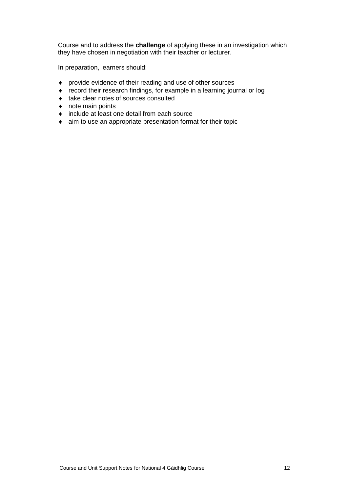Course and to address the **challenge** of applying these in an investigation which they have chosen in negotiation with their teacher or lecturer.

In preparation, learners should:

- provide evidence of their reading and use of other sources
- record their research findings, for example in a learning journal or log
- $\bullet$  take clear notes of sources consulted
- note main points
- include at least one detail from each source
- aim to use an appropriate presentation format for their topic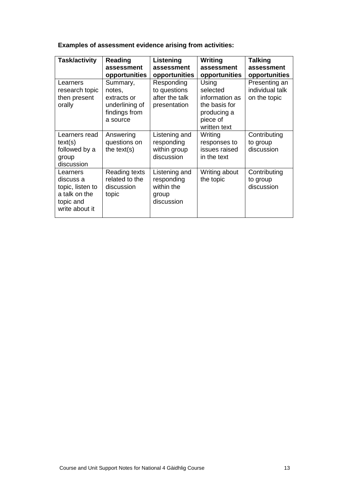**Examples of assessment evidence arising from activities:**

| Task/activity                                                                             | <b>Reading</b><br>assessment<br>opportunities                                    | Listening<br>assessment<br>opportunities                         | Writing<br>assessment<br>opportunities                                                          | <b>Talking</b><br>assessment<br>opportunities    |
|-------------------------------------------------------------------------------------------|----------------------------------------------------------------------------------|------------------------------------------------------------------|-------------------------------------------------------------------------------------------------|--------------------------------------------------|
| Learners<br>research topic<br>then present<br>orally                                      | Summary,<br>notes,<br>extracts or<br>underlining of<br>findings from<br>a source | Responding<br>to questions<br>after the talk<br>presentation     | Using<br>selected<br>information as<br>the basis for<br>producing a<br>piece of<br>written text | Presenting an<br>individual talk<br>on the topic |
| Learners read<br>text(s)<br>followed by a<br>group<br>discussion                          | Answering<br>questions on<br>the $text(s)$                                       | Listening and<br>responding<br>within group<br>discussion        | Writing<br>responses to<br>issues raised<br>in the text                                         | Contributing<br>to group<br>discussion           |
| Learners<br>discuss a<br>topic, listen to<br>a talk on the<br>topic and<br>write about it | Reading texts<br>related to the<br>discussion<br>topic                           | Listening and<br>responding<br>within the<br>group<br>discussion | Writing about<br>the topic                                                                      | Contributing<br>to group<br>discussion           |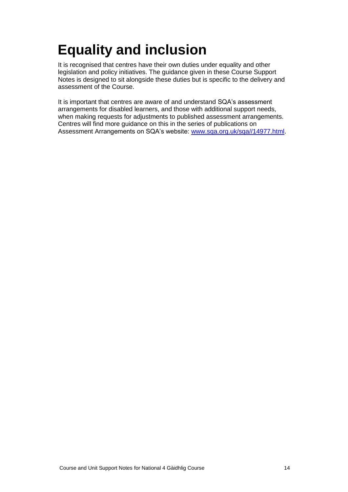# <span id="page-15-0"></span>**Equality and inclusion**

It is recognised that centres have their own duties under equality and other legislation and policy initiatives. The guidance given in these Course Support Notes is designed to sit alongside these duties but is specific to the delivery and assessment of the Course.

It is important that centres are aware of and understand SQA's assessment arrangements for disabled learners, and those with additional support needs, when making requests for adjustments to published assessment arrangements. Centres will find more guidance on this in the series of publications on Assessment Arrangements on SQA's website: [www.sqa.org.uk/sqa//14977.html.](http://www.sqa.org.uk/sqa/14977.html)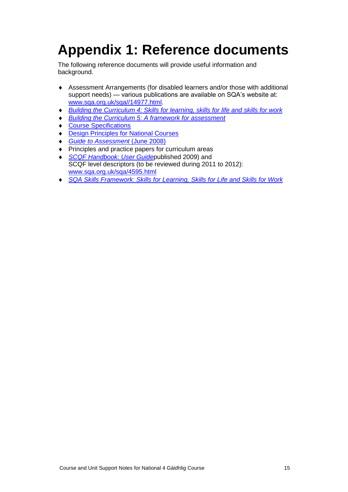# <span id="page-16-0"></span>**Appendix 1: Reference documents**

The following reference documents will provide useful information and background.

- Assessment Arrangements (for disabled learners and/or those with additional support needs) — various publications are available on SQA's website at: [www.sqa.org.uk/sqa//14977.html.](http://www.sqa.org.uk/sqa/14977.html)
- *[Building the Curriculum 4: Skills for learning, skills for life and skills for work](http://www.ltscotland.org.uk/buildingyourcurriculum/policycontext/btc/btc4.asp)*
- *[Building the Curriculum 5: A framework for assessment](http://www.ltscotland.org.uk/buildingyourcurriculum/policycontext/btc/btc5.asp)*
- ◆ [Course Specifications](http://www.sqa.org.uk/browsecfesubjects)
- [Design Principles for National Courses](http://www.sqa.org.uk/sqa/68410.5165.html)
- *[Guide to Assessment](http://www.sqa.org.uk/files_ccc/25GuideToAssessment.pdf)* (June 2008)
- Principles and practice papers for curriculum areas
- *[SCQF Handbook: User Guide](http://www.scqf.org.uk/Resources)*published 2009) and SCQF level descriptors (to be reviewed during 2011 to 2012): [www.sqa.org.uk/sqa/4595.html](http://www.sqa.org.uk/sqa/4595.html)
- *[SQA Skills Framework: Skills for Learning, Skills](http://www.sqa.org.uk/sqa/63101.html) for Life and Skills for Work*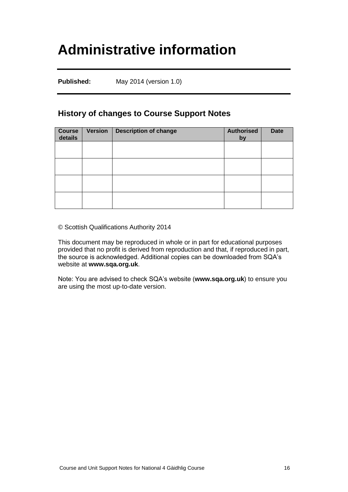## <span id="page-17-0"></span>**Administrative information**

**Published:** May 2014 (version 1.0)

### **History of changes to Course Support Notes**

| Course<br>details | <b>Version</b> | <b>Description of change</b> | <b>Authorised</b><br>by | <b>Date</b> |
|-------------------|----------------|------------------------------|-------------------------|-------------|
|                   |                |                              |                         |             |
|                   |                |                              |                         |             |
|                   |                |                              |                         |             |
|                   |                |                              |                         |             |

© Scottish Qualifications Authority 2014

This document may be reproduced in whole or in part for educational purposes provided that no profit is derived from reproduction and that, if reproduced in part, the source is acknowledged. Additional copies can be downloaded from SQA's website at **[www.sqa.org.uk](http://www.sqa.org.uk/)**.

Note: You are advised to check SQA's website (**[www.sqa.org.uk](http://www.sqa.org.uk/)**) to ensure you are using the most up-to-date version.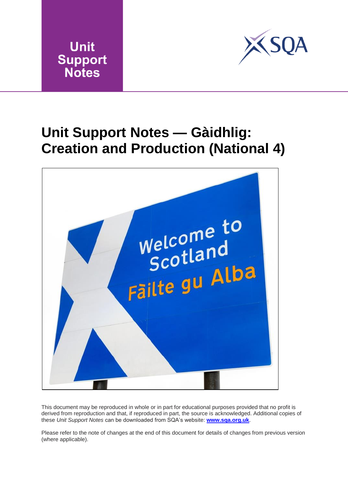



## <span id="page-18-0"></span>**Unit Support Notes — Gàidhlig: Creation and Production (National 4)**



This document may be reproduced in whole or in part for educational purposes provided that no profit is derived from reproduction and that, if reproduced in part, the source is acknowledged. Additional copies of these *Unit Support Notes* can be downloaded from SQA's website: **[www.sqa.org.uk](http://www.sqa.org.uk/)**.

Please refer to the note of changes at the end of this document for details of changes from previous version (where applicable).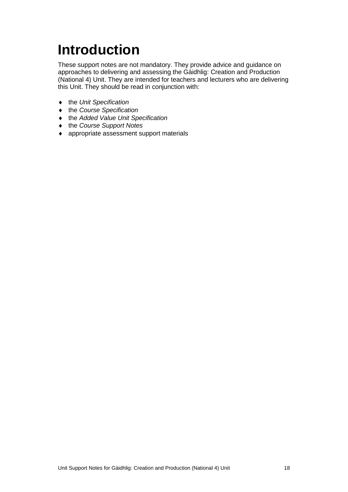# <span id="page-19-0"></span>**Introduction**

These support notes are not mandatory. They provide advice and guidance on approaches to delivering and assessing the Gàidhlig: Creation and Production (National 4) Unit. They are intended for teachers and lecturers who are delivering this Unit. They should be read in conjunction with:

- the *Unit Specification*
- the *Course Specification*
- the *Added Value Unit Specification*
- the *Course Support Notes*
- appropriate assessment support materials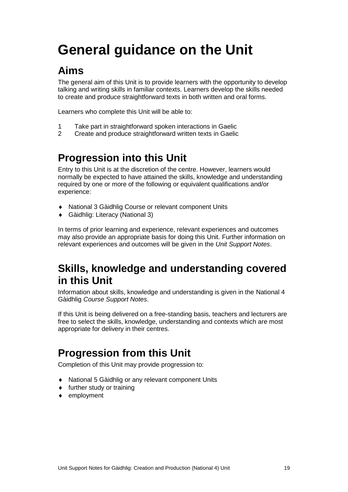# <span id="page-20-0"></span>**General guidance on the Unit**

## **Aims**

The general aim of this Unit is to provide learners with the opportunity to develop talking and writing skills in familiar contexts. Learners develop the skills needed to create and produce straightforward texts in both written and oral forms.

Learners who complete this Unit will be able to:

- 1 Take part in straightforward spoken interactions in Gaelic
- 2 Create and produce straightforward written texts in Gaelic

## **Progression into this Unit**

Entry to this Unit is at the discretion of the centre. However, learners would normally be expected to have attained the skills, knowledge and understanding required by one or more of the following or equivalent qualifications and/or experience:

- National 3 Gàidhlig Course or relevant component Units
- Gàidhlig: Literacy (National 3)

In terms of prior learning and experience, relevant experiences and outcomes may also provide an appropriate basis for doing this Unit. Further information on relevant experiences and outcomes will be given in the *Unit Support Notes*.

### **Skills, knowledge and understanding covered in this Unit**

Information about skills, knowledge and understanding is given in the National 4 Gàidhlig *Course Support Notes*.

If this Unit is being delivered on a free-standing basis, teachers and lecturers are free to select the skills, knowledge, understanding and contexts which are most appropriate for delivery in their centres.

### **Progression from this Unit**

Completion of this Unit may provide progression to:

- National 5 Gàidhlig or any relevant component Units
- $\bullet$  further study or training
- ◆ employment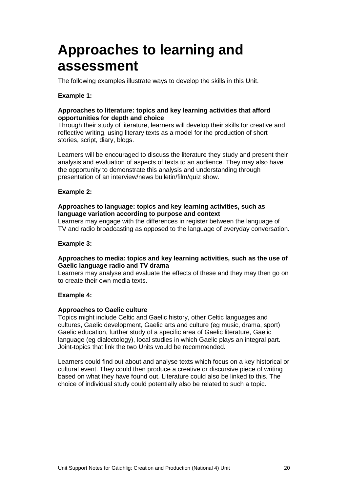## <span id="page-21-0"></span>**Approaches to learning and assessment**

The following examples illustrate ways to develop the skills in this Unit.

### **Example 1:**

### **Approaches to literature: topics and key learning activities that afford opportunities for depth and choice**

Through their study of literature, learners will develop their skills for creative and reflective writing, using literary texts as a model for the production of short stories, script, diary, blogs.

Learners will be encouraged to discuss the literature they study and present their analysis and evaluation of aspects of texts to an audience. They may also have the opportunity to demonstrate this analysis and understanding through presentation of an interview/news bulletin/film/quiz show.

#### **Example 2:**

#### **Approaches to language: topics and key learning activities, such as language variation according to purpose and context**

Learners may engage with the differences in register between the language of TV and radio broadcasting as opposed to the language of everyday conversation.

#### **Example 3:**

#### **Approaches to media: topics and key learning activities, such as the use of Gaelic language radio and TV drama**

Learners may analyse and evaluate the effects of these and they may then go on to create their own media texts.

#### **Example 4:**

#### **Approaches to Gaelic culture**

Topics might include Celtic and Gaelic history, other Celtic languages and cultures, Gaelic development, Gaelic arts and culture (eg music, drama, sport) Gaelic education, further study of a specific area of Gaelic literature, Gaelic language (eg dialectology), local studies in which Gaelic plays an integral part. Joint-topics that link the two Units would be recommended.

Learners could find out about and analyse texts which focus on a key historical or cultural event. They could then produce a creative or discursive piece of writing based on what they have found out. Literature could also be linked to this. The choice of individual study could potentially also be related to such a topic.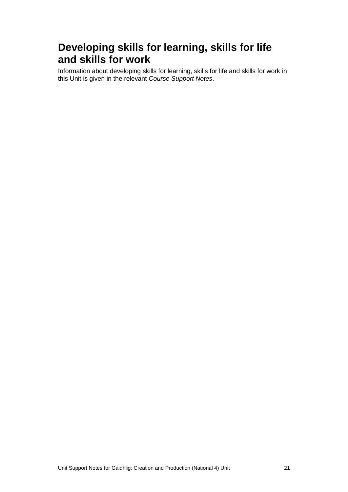### **Developing skills for learning, skills for life and skills for work**

Information about developing skills for learning, skills for life and skills for work in this Unit is given in the relevant *Course Support Notes*.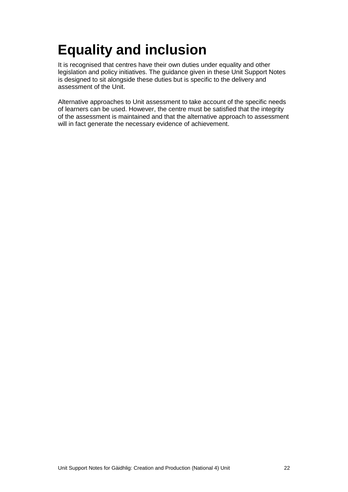# <span id="page-23-0"></span>**Equality and inclusion**

It is recognised that centres have their own duties under equality and other legislation and policy initiatives. The guidance given in these Unit Support Notes is designed to sit alongside these duties but is specific to the delivery and assessment of the Unit.

Alternative approaches to Unit assessment to take account of the specific needs of learners can be used. However, the centre must be satisfied that the integrity of the assessment is maintained and that the alternative approach to assessment will in fact generate the necessary evidence of achievement.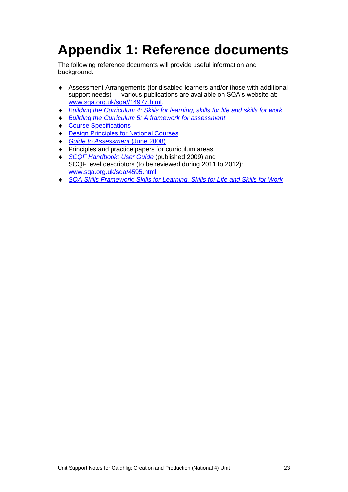# <span id="page-24-0"></span>**Appendix 1: Reference documents**

The following reference documents will provide useful information and background.

- Assessment Arrangements (for disabled learners and/or those with additional support needs) — various publications are available on SQA's website at: [www.sqa.org.uk/sqa//14977.html.](http://www.sqa.org.uk/sqa/14977.html)
- *[Building the Curriculum 4: Skills for learning, skills for life and skills for work](http://www.ltscotland.org.uk/buildingyourcurriculum/policycontext/btc/btc4.asp)*
- *[Building the Curriculum 5: A framework for assessment](http://www.ltscotland.org.uk/buildingyourcurriculum/policycontext/btc/btc5.asp)*
- ◆ [Course Specifications](http://www.sqa.org.uk/browsecfesubjects)
- [Design Principles for National Courses](http://www.sqa.org.uk/sqa/68410.5165.html)
- *Guide to Assessment* (June 2008)
- Principles and practice papers for curriculum areas
- *[SCQF Handbook: User Guide](http://www.scqf.org.uk/Resources)* (published 2009) and SCQF level descriptors (to be reviewed during 2011 to 2012): [www.sqa.org.uk/sqa/4595.html](http://www.sqa.org.uk/sqa/4595.html)
- *[SQA Skills Framework: Skills for Learning, Skills](http://www.sqa.org.uk/sqa/63101.html) for Life and Skills for Work*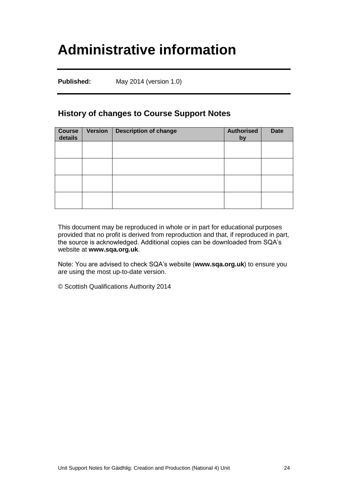## <span id="page-25-0"></span>**Administrative information**

**Published:** May 2014 (version 1.0)

### **History of changes to Course Support Notes**

| Course<br>details | <b>Version</b> | <b>Description of change</b> | <b>Authorised</b><br>by | <b>Date</b> |
|-------------------|----------------|------------------------------|-------------------------|-------------|
|                   |                |                              |                         |             |
|                   |                |                              |                         |             |
|                   |                |                              |                         |             |
|                   |                |                              |                         |             |

This document may be reproduced in whole or in part for educational purposes provided that no profit is derived from reproduction and that, if reproduced in part, the source is acknowledged. Additional copies can be downloaded from SQA's website at **[www.sqa.org.uk](http://www.sqa.org.uk/)**.

Note: You are advised to check SQA's website (**[www.sqa.org.uk](http://www.sqa.org.uk/)**) to ensure you are using the most up-to-date version.

© Scottish Qualifications Authority 2014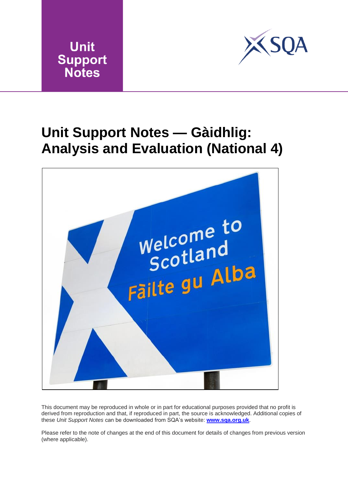



## <span id="page-26-0"></span>**Unit Support Notes — Gàidhlig: Analysis and Evaluation (National 4)**



This document may be reproduced in whole or in part for educational purposes provided that no profit is derived from reproduction and that, if reproduced in part, the source is acknowledged. Additional copies of these *Unit Support Notes* can be downloaded from SQA's website: **[www.sqa.org.uk](http://www.sqa.org.uk/)**.

Please refer to the note of changes at the end of this document for details of changes from previous version (where applicable).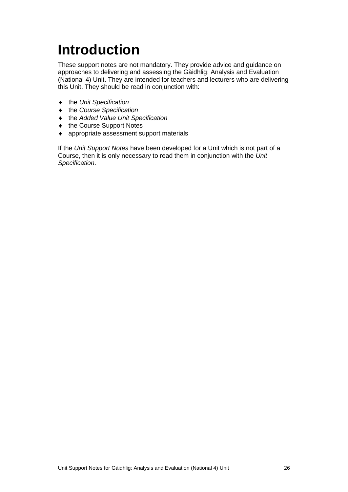# <span id="page-27-0"></span>**Introduction**

These support notes are not mandatory. They provide advice and guidance on approaches to delivering and assessing the Gàidhlig: Analysis and Evaluation (National 4) Unit. They are intended for teachers and lecturers who are delivering this Unit. They should be read in conjunction with:

- the *Unit Specification*
- the *Course Specification*
- the *Added Value Unit Specification*
- ◆ the Course Support Notes
- appropriate assessment support materials

If the *Unit Support Notes* have been developed for a Unit which is not part of a Course, then it is only necessary to read them in conjunction with the *Unit Specification*.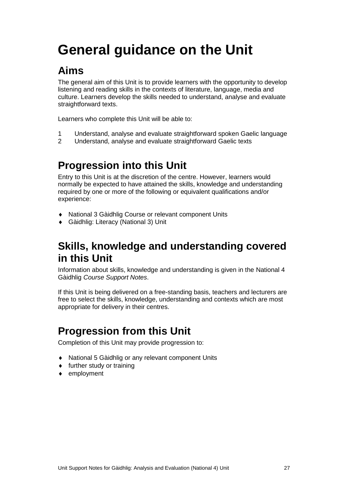# <span id="page-28-0"></span>**General guidance on the Unit**

## **Aims**

The general aim of this Unit is to provide learners with the opportunity to develop listening and reading skills in the contexts of literature, language, media and culture. Learners develop the skills needed to understand, analyse and evaluate straightforward texts.

Learners who complete this Unit will be able to:

- 1 Understand, analyse and evaluate straightforward spoken Gaelic language
- 2 Understand, analyse and evaluate straightforward Gaelic texts

## **Progression into this Unit**

Entry to this Unit is at the discretion of the centre. However, learners would normally be expected to have attained the skills, knowledge and understanding required by one or more of the following or equivalent qualifications and/or experience:

- National 3 Gàidhlig Course or relevant component Units
- Gàidhlig: Literacy (National 3) Unit

### **Skills, knowledge and understanding covered in this Unit**

Information about skills, knowledge and understanding is given in the National 4 Gàidhlig *Course Support Notes*.

If this Unit is being delivered on a free-standing basis, teachers and lecturers are free to select the skills, knowledge, understanding and contexts which are most appropriate for delivery in their centres.

## **Progression from this Unit**

Completion of this Unit may provide progression to:

- National 5 Gàidhlig or any relevant component Units
- $\bullet$  further study or training
- ◆ employment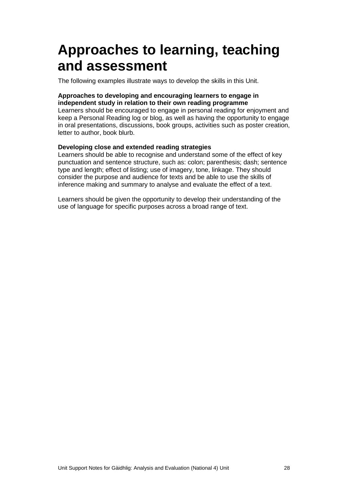## <span id="page-29-0"></span>**Approaches to learning, teaching and assessment**

The following examples illustrate ways to develop the skills in this Unit.

### **Approaches to developing and encouraging learners to engage in independent study in relation to their own reading programme**

Learners should be encouraged to engage in personal reading for enjoyment and keep a Personal Reading log or blog, as well as having the opportunity to engage in oral presentations, discussions, book groups, activities such as poster creation, letter to author, book blurb.

### **Developing close and extended reading strategies**

Learners should be able to recognise and understand some of the effect of key punctuation and sentence structure, such as: colon; parenthesis; dash; sentence type and length; effect of listing; use of imagery, tone, linkage. They should consider the purpose and audience for texts and be able to use the skills of inference making and summary to analyse and evaluate the effect of a text.

Learners should be given the opportunity to develop their understanding of the use of language for specific purposes across a broad range of text.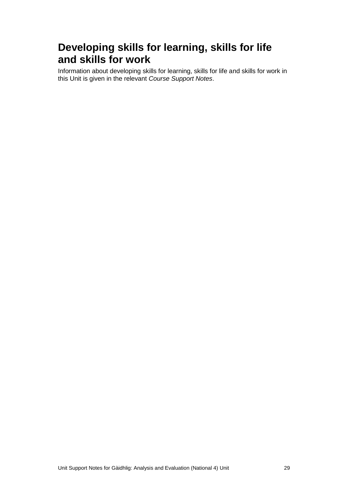### **Developing skills for learning, skills for life and skills for work**

Information about developing skills for learning, skills for life and skills for work in this Unit is given in the relevant *Course Support Notes*.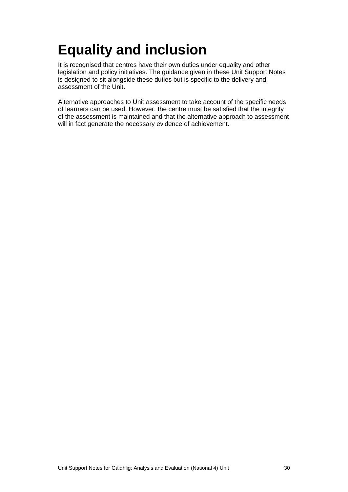# <span id="page-31-0"></span>**Equality and inclusion**

It is recognised that centres have their own duties under equality and other legislation and policy initiatives. The guidance given in these Unit Support Notes is designed to sit alongside these duties but is specific to the delivery and assessment of the Unit.

Alternative approaches to Unit assessment to take account of the specific needs of learners can be used. However, the centre must be satisfied that the integrity of the assessment is maintained and that the alternative approach to assessment will in fact generate the necessary evidence of achievement.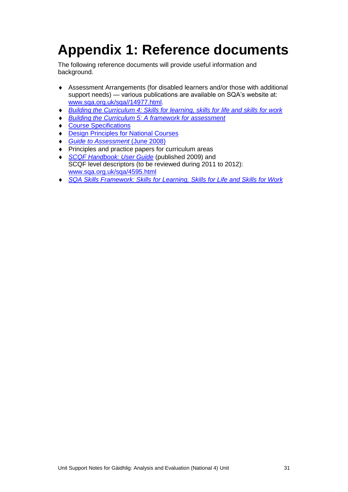# <span id="page-32-0"></span>**Appendix 1: Reference documents**

The following reference documents will provide useful information and background.

- Assessment Arrangements (for disabled learners and/or those with additional support needs) — various publications are available on SQA's website at: [www.sqa.org.uk/sqa//14977.html.](http://www.sqa.org.uk/sqa/14977.html)
- *[Building the Curriculum 4: Skills for learning, skills for life and skills for work](http://www.ltscotland.org.uk/buildingyourcurriculum/policycontext/btc/btc4.asp)*
- *[Building the Curriculum 5: A framework for assessment](http://www.ltscotland.org.uk/buildingyourcurriculum/policycontext/btc/btc5.asp)*
- ◆ [Course Specifications](http://www.sqa.org.uk/browsecfesubjects)
- [Design Principles for National Courses](http://www.sqa.org.uk/sqa/68410.5165.html)
- *Guide to Assessment* (June 2008)
- Principles and practice papers for curriculum areas
- *[SCQF Handbook: User Guide](http://www.scqf.org.uk/Resources)* (published 2009) and SCQF level descriptors (to be reviewed during 2011 to 2012): [www.sqa.org.uk/sqa/4595.html](http://www.sqa.org.uk/sqa/4595.html)
- *[SQA Skills Framework: Skills for Learning, Skills](http://www.sqa.org.uk/sqa/63101.html) for Life and Skills for Work*